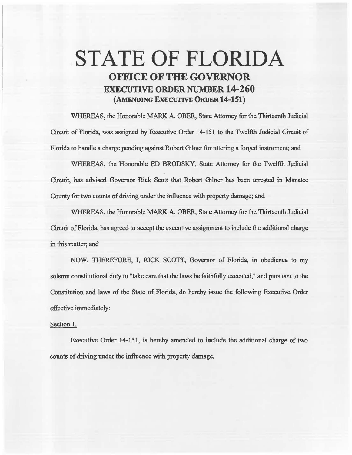## STATE OF FLORIDA OFFICE OF THE GOVERNOR EXECUTIVE ORDER NUMBER 14-260 (.AMENDING EXECUTIVE ORDER 14-151)

WHEREAS, the Honorable MARK A. OBER, State Attorney for the Thirteenth Judicial Circuit of Florida, was assigned by Executive Order 14-151 to the Twelfth Judicial Circuit of Florida to handle a charge pending against Robert Gilner for uttering a forged instrument; and

WHEREAS, the Honorable ED BRODSKY, State Attorney for the Twelfth Judicial Circuit, has advised Governor Rick Scott that Robert Gilner has been arrested in Manatee County for two counts of driving under the influence with property damage; and

WHEREAS, the Honorable MARK A. OBER, State Attorney for the Thirteenth Judicial Circuit of Florida, has agreed to accept the executive assignment to include the additional charge in this matter; and

NOW, THEREFORE, I, RICK SCOTI, Governor of Florida, in obedience to my solemn constitutional duty to "take care that the laws be faithfully executed," and pursuant to the Constitution and laws of the State of Florida, do hereby issue the following Executive Order effective immediately:

## Section 1.

Executive Order 14-151, is hereby amended to include the additional charge of two counts of driving under the influence with property damage.